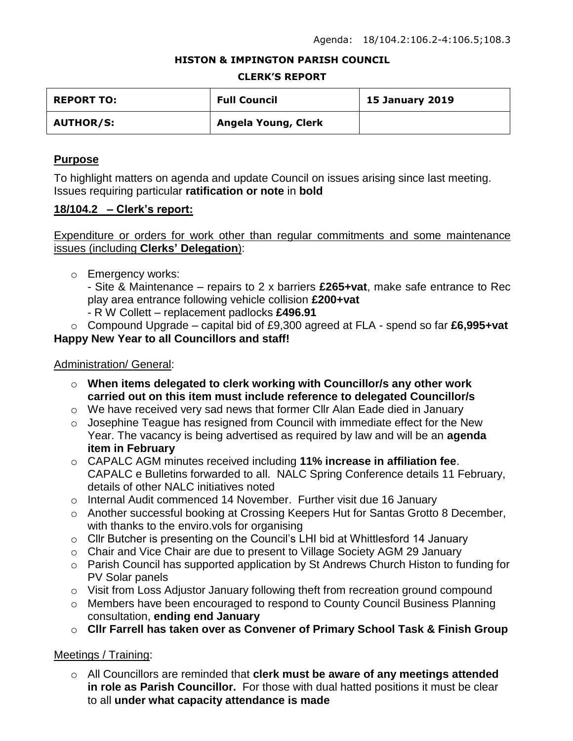#### **HISTON & IMPINGTON PARISH COUNCIL**

#### **CLERK'S REPORT**

| <b>REPORT TO:</b> | <b>Full Council</b> | <b>15 January 2019</b> |
|-------------------|---------------------|------------------------|
| <b>AUTHOR/S:</b>  | Angela Young, Clerk |                        |

### **Purpose**

To highlight matters on agenda and update Council on issues arising since last meeting. Issues requiring particular **ratification or note** in **bold**

### **18/104.2 – Clerk's report:**

### Expenditure or orders for work other than regular commitments and some maintenance issues (including **Clerks' Delegation**):

o Emergency works:

- Site & Maintenance – repairs to 2 x barriers **£265+vat**, make safe entrance to Rec play area entrance following vehicle collision **£200+vat**

- R W Collett replacement padlocks **£496.91**
- o Compound Upgrade capital bid of £9,300 agreed at FLA spend so far **£6,995+vat Happy New Year to all Councillors and staff!**

### Administration/ General:

- o **When items delegated to clerk working with Councillor/s any other work carried out on this item must include reference to delegated Councillor/s**
- o We have received very sad news that former Cllr Alan Eade died in January
- o Josephine Teague has resigned from Council with immediate effect for the New Year. The vacancy is being advertised as required by law and will be an **agenda item in February**
- o CAPALC AGM minutes received including **11% increase in affiliation fee**. CAPALC e Bulletins forwarded to all. NALC Spring Conference details 11 February, details of other NALC initiatives noted
- o Internal Audit commenced 14 November. Further visit due 16 January
- o Another successful booking at Crossing Keepers Hut for Santas Grotto 8 December, with thanks to the enviro. vols for organising
- o Cllr Butcher is presenting on the Council's LHI bid at Whittlesford 14 January
- o Chair and Vice Chair are due to present to Village Society AGM 29 January
- o Parish Council has supported application by St Andrews Church Histon to funding for PV Solar panels
- $\circ$  Visit from Loss Adjustor January following theft from recreation ground compound
- o Members have been encouraged to respond to County Council Business Planning consultation, **ending end January**
- o **Cllr Farrell has taken over as Convener of Primary School Task & Finish Group**

### Meetings / Training:

o All Councillors are reminded that **clerk must be aware of any meetings attended in role as Parish Councillor.** For those with dual hatted positions it must be clear to all **under what capacity attendance is made**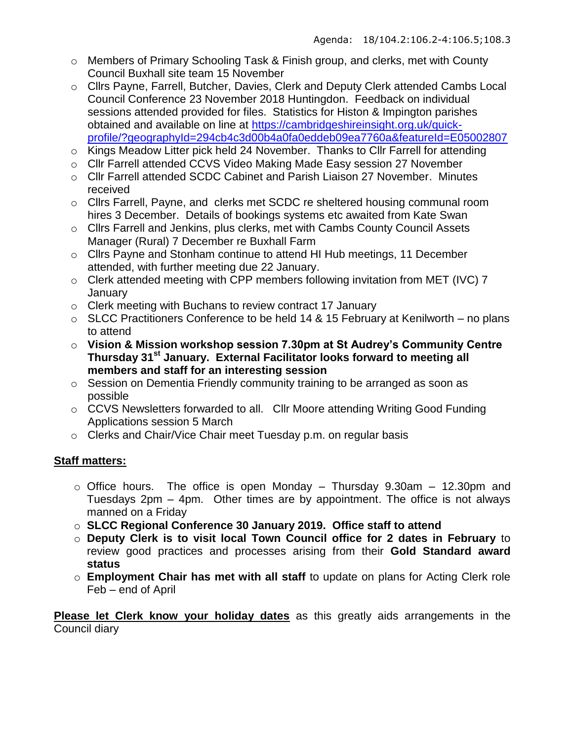- o Members of Primary Schooling Task & Finish group, and clerks, met with County Council Buxhall site team 15 November
- o Cllrs Payne, Farrell, Butcher, Davies, Clerk and Deputy Clerk attended Cambs Local Council Conference 23 November 2018 Huntingdon. Feedback on individual sessions attended provided for files. Statistics for Histon & Impington parishes obtained and available on line at [https://cambridgeshireinsight.org.uk/quick](https://cambridgeshireinsight.org.uk/quick-profile/?geographyId=294cb4c3d00b4a0fa0eddeb09ea7760a&featureId=E05002807)[profile/?geographyId=294cb4c3d00b4a0fa0eddeb09ea7760a&featureId=E05002807](https://cambridgeshireinsight.org.uk/quick-profile/?geographyId=294cb4c3d00b4a0fa0eddeb09ea7760a&featureId=E05002807)
- o Kings Meadow Litter pick held 24 November. Thanks to Cllr Farrell for attending
- o Cllr Farrell attended CCVS Video Making Made Easy session 27 November
- o Cllr Farrell attended SCDC Cabinet and Parish Liaison 27 November. Minutes received
- o Cllrs Farrell, Payne, and clerks met SCDC re sheltered housing communal room hires 3 December. Details of bookings systems etc awaited from Kate Swan
- o Cllrs Farrell and Jenkins, plus clerks, met with Cambs County Council Assets Manager (Rural) 7 December re Buxhall Farm
- o Cllrs Payne and Stonham continue to attend HI Hub meetings, 11 December attended, with further meeting due 22 January.
- o Clerk attended meeting with CPP members following invitation from MET (IVC) 7 **January**
- o Clerk meeting with Buchans to review contract 17 January
- $\circ$  SLCC Practitioners Conference to be held 14 & 15 February at Kenilworth no plans to attend
- o **Vision & Mission workshop session 7.30pm at St Audrey's Community Centre Thursday 31st January. External Facilitator looks forward to meeting all members and staff for an interesting session**
- o Session on Dementia Friendly community training to be arranged as soon as possible
- o CCVS Newsletters forwarded to all. Cllr Moore attending Writing Good Funding Applications session 5 March
- o Clerks and Chair/Vice Chair meet Tuesday p.m. on regular basis

# **Staff matters:**

- $\circ$  Office hours. The office is open Monday Thursday 9.30am 12.30pm and Tuesdays 2pm – 4pm. Other times are by appointment. The office is not always manned on a Friday
- o **SLCC Regional Conference 30 January 2019. Office staff to attend**
- o **Deputy Clerk is to visit local Town Council office for 2 dates in February** to review good practices and processes arising from their **Gold Standard award status**
- o **Employment Chair has met with all staff** to update on plans for Acting Clerk role Feb – end of April

**Please let Clerk know your holiday dates** as this greatly aids arrangements in the Council diary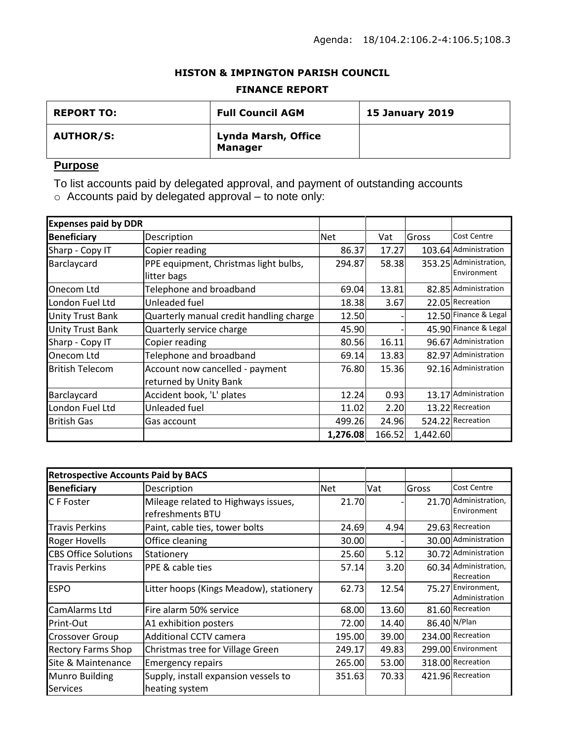### **HISTON & IMPINGTON PARISH COUNCIL**

#### **FINANCE REPORT**

| <b>REPORT TO:</b> | <b>Full Council AGM</b>               | <b>15 January 2019</b> |
|-------------------|---------------------------------------|------------------------|
| <b>AUTHOR/S:</b>  | Lynda Marsh, Office<br><b>Manager</b> |                        |

# **Purpose**

To list accounts paid by delegated approval, and payment of outstanding accounts

o Accounts paid by delegated approval – to note only:

| <b>Expenses paid by DDR</b> |                                                           |            |        |          |                                       |
|-----------------------------|-----------------------------------------------------------|------------|--------|----------|---------------------------------------|
| <b>Beneficiary</b>          | Description                                               | <b>Net</b> | Vat    | Gross    | <b>Cost Centre</b>                    |
| Sharp - Copy IT             | Copier reading                                            | 86.37      | 17.27  |          | 103.64 Administration                 |
| Barclaycard                 | PPE equipment, Christmas light bulbs,<br>litter bags      | 294.87     | 58.38  |          | 353.25 Administration,<br>Environment |
| Onecom Ltd                  | Telephone and broadband                                   | 69.04      | 13.81  |          | 82.85 Administration                  |
| London Fuel Ltd             | Unleaded fuel                                             | 18.38      | 3.67   |          | 22.05 Recreation                      |
| <b>Unity Trust Bank</b>     | Quarterly manual credit handling charge                   | 12.50      |        |          | 12.50 Finance & Legal                 |
| <b>Unity Trust Bank</b>     | Quarterly service charge                                  | 45.90      |        |          | 45.90 Finance & Legal                 |
| Sharp - Copy IT             | Copier reading                                            | 80.56      | 16.11  |          | 96.67 Administration                  |
| Onecom Ltd                  | Telephone and broadband                                   | 69.14      | 13.83  |          | 82.97 Administration                  |
| British Telecom             | Account now cancelled - payment<br>returned by Unity Bank | 76.80      | 15.36  |          | 92.16 Administration                  |
| Barclaycard                 | Accident book, 'L' plates                                 | 12.24      | 0.93   |          | 13.17 Administration                  |
| London Fuel Ltd             | Unleaded fuel                                             | 11.02      | 2.20   |          | 13.22 Recreation                      |
| British Gas                 | Gas account                                               | 499.26     | 24.96  |          | 524.22 Recreation                     |
|                             |                                                           | 1,276.08   | 166.52 | 1,442.60 |                                       |

| <b>Retrospective Accounts Paid by BACS</b> |                                                         |            |       |       |                                      |
|--------------------------------------------|---------------------------------------------------------|------------|-------|-------|--------------------------------------|
| <b>Beneficiary</b>                         | Description                                             | <b>Net</b> | Vat   | Gross | Cost Centre                          |
| IC F Foster                                | Mileage related to Highways issues,<br>refreshments BTU | 21.70      |       |       | 21.70 Administration,<br>Environment |
| Travis Perkins                             | Paint, cable ties, tower bolts                          | 24.69      | 4.94  |       | 29.63 Recreation                     |
| <b>Roger Hovells</b>                       | Office cleaning                                         | 30.00      |       |       | 30.00 Administration                 |
| <b>CBS Office Solutions</b>                | Stationery                                              | 25.60      | 5.12  |       | 30.72 Administration                 |
| <b>Travis Perkins</b>                      | <b>PPE &amp; cable ties</b>                             | 57.14      | 3.20  |       | 60.34 Administration,<br>Recreation  |
| <b>ESPO</b>                                | Litter hoops (Kings Meadow), stationery                 | 62.73      | 12.54 |       | 75.27 Environment,<br>Administration |
| CamAlarms Ltd                              | Fire alarm 50% service                                  | 68.00      | 13.60 |       | 81.60 Recreation                     |
| Print-Out                                  | A1 exhibition posters                                   | 72.00      | 14.40 |       | 86.40 N/Plan                         |
| <b>Crossover Group</b>                     | <b>Additional CCTV camera</b>                           | 195.00     | 39.00 |       | 234.00 Recreation                    |
| <b>Rectory Farms Shop</b>                  | Christmas tree for Village Green                        | 249.17     | 49.83 |       | 299.00 Environment                   |
| Site & Maintenance                         | <b>Emergency repairs</b>                                | 265.00     | 53.00 |       | 318.00 Recreation                    |
| <b>Munro Building</b><br><b>Services</b>   | Supply, install expansion vessels to<br>heating system  | 351.63     | 70.33 |       | 421.96 Recreation                    |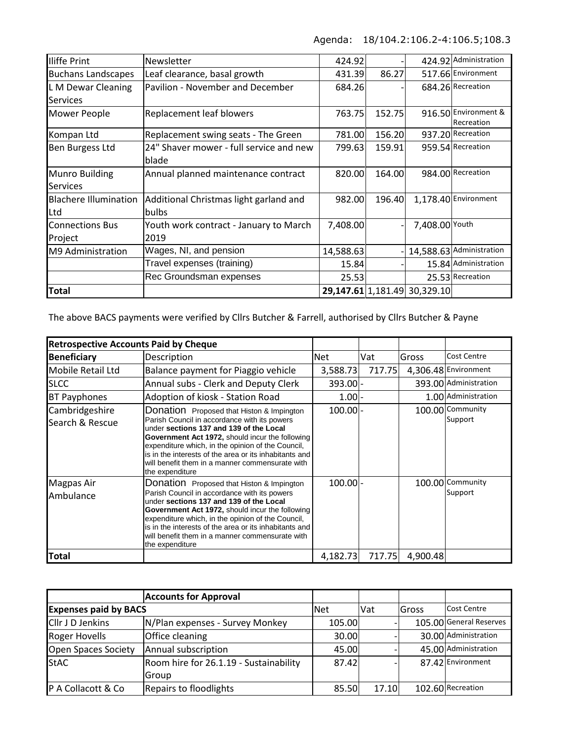Agenda: 18/104.2:106.2-4:106.5;108.3

| <b>Iliffe Print</b>          | Newsletter                              | 424.92    |        |                              | 424.92 Administration              |
|------------------------------|-----------------------------------------|-----------|--------|------------------------------|------------------------------------|
| <b>Buchans Landscapes</b>    | Leaf clearance, basal growth            | 431.39    | 86.27  |                              | 517.66 Environment                 |
| L M Dewar Cleaning           | Pavilion - November and December        | 684.26    |        |                              | 684.26 Recreation                  |
| <b>Services</b>              |                                         |           |        |                              |                                    |
| Mower People                 | Replacement leaf blowers                | 763.75    | 152.75 |                              | 916.50 Environment &<br>Recreation |
| Kompan Ltd                   | Replacement swing seats - The Green     | 781.00    | 156.20 |                              | 937.20 Recreation                  |
| Ben Burgess Ltd              | 24" Shaver mower - full service and new | 799.63    | 159.91 |                              | 959.54 Recreation                  |
|                              | lblade                                  |           |        |                              |                                    |
| Munro Building               | Annual planned maintenance contract     | 820.00    | 164.00 |                              | 984.00 Recreation                  |
| <b>Services</b>              |                                         |           |        |                              |                                    |
| <b>Blachere Illumination</b> | Additional Christmas light garland and  | 982.00    | 196.40 |                              | 1,178.40 Environment               |
| Ltd                          | <b>bulbs</b>                            |           |        |                              |                                    |
| <b>Connections Bus</b>       | Youth work contract - January to March  | 7,408.00  |        | 7,408.00 Youth               |                                    |
| Project                      | 2019                                    |           |        |                              |                                    |
| M9 Administration            | Wages, NI, and pension                  | 14,588.63 |        |                              | 14,588.63 Administration           |
|                              | Travel expenses (training)              | 15.84     |        |                              | 15.84 Administration               |
|                              | Rec Groundsman expenses                 | 25.53     |        |                              | 25.53 Recreation                   |
| <b>Total</b>                 |                                         |           |        | 29,147.61 1,181.49 30,329.10 |                                    |

The above BACS payments were verified by Cllrs Butcher & Farrell, authorised by Cllrs Butcher & Payne

| <b>Retrospective Accounts Paid by Cheque</b> |                                                                                                                                                                                                                                                                                                                                                                              |            |        |          |                             |
|----------------------------------------------|------------------------------------------------------------------------------------------------------------------------------------------------------------------------------------------------------------------------------------------------------------------------------------------------------------------------------------------------------------------------------|------------|--------|----------|-----------------------------|
| <b>Beneficiary</b>                           | Description                                                                                                                                                                                                                                                                                                                                                                  | <b>Net</b> | Vat    | Gross    | Cost Centre                 |
| Mobile Retail Ltd                            | Balance payment for Piaggio vehicle                                                                                                                                                                                                                                                                                                                                          | 3,588.73   | 717.75 |          | 4,306.48 Environment        |
| <b>SLCC</b>                                  | Annual subs - Clerk and Deputy Clerk                                                                                                                                                                                                                                                                                                                                         | 393.00 -   |        |          | 393.00 Administration       |
| <b>BT Payphones</b>                          | Adoption of kiosk - Station Road                                                                                                                                                                                                                                                                                                                                             | $1.00 -$   |        |          | 1.00 Administration         |
| Cambridgeshire<br>Search & Rescue            | Donation Proposed that Histon & Impington<br>Parish Council in accordance with its powers<br>under sections 137 and 139 of the Local<br>Government Act 1972, should incur the following<br>expenditure which, in the opinion of the Council,<br>is in the interests of the area or its inhabitants and<br>will benefit them in a manner commensurate with<br>the expenditure | $100.00$ - |        |          | 100.00 Community<br>Support |
| <b>Magpas Air</b><br>Ambulance               | Donation Proposed that Histon & Impington<br>Parish Council in accordance with its powers<br>under sections 137 and 139 of the Local<br>Government Act 1972, should incur the following<br>expenditure which, in the opinion of the Council,<br>is in the interests of the area or its inhabitants and<br>will benefit them in a manner commensurate with<br>the expenditure | $100.00$ - |        |          | 100.00 Community<br>Support |
| Total                                        |                                                                                                                                                                                                                                                                                                                                                                              | 4.182.73   | 717.75 | 4,900.48 |                             |

|                              | <b>Accounts for Approval</b>           |            |       |       |                         |
|------------------------------|----------------------------------------|------------|-------|-------|-------------------------|
| <b>Expenses paid by BACS</b> |                                        | <b>Net</b> | Vat   | Gross | <b>Cost Centre</b>      |
| <b>Cllr J D Jenkins</b>      | N/Plan expenses - Survey Monkey        | 105.00     |       |       | 105.00 General Reserves |
| <b>Roger Hovells</b>         | Office cleaning                        | 30.00      |       |       | 30.00 Administration    |
| Open Spaces Society          | Annual subscription                    | 45.00      |       |       | 45.00 Administration    |
| <b>StAC</b>                  | Room hire for 26.1.19 - Sustainability | 87.42      |       |       | 87.42 Environment       |
|                              | Group                                  |            |       |       |                         |
| P A Collacott & Co           | Repairs to floodlights                 | 85.50      | 17.10 |       | 102.60 Recreation       |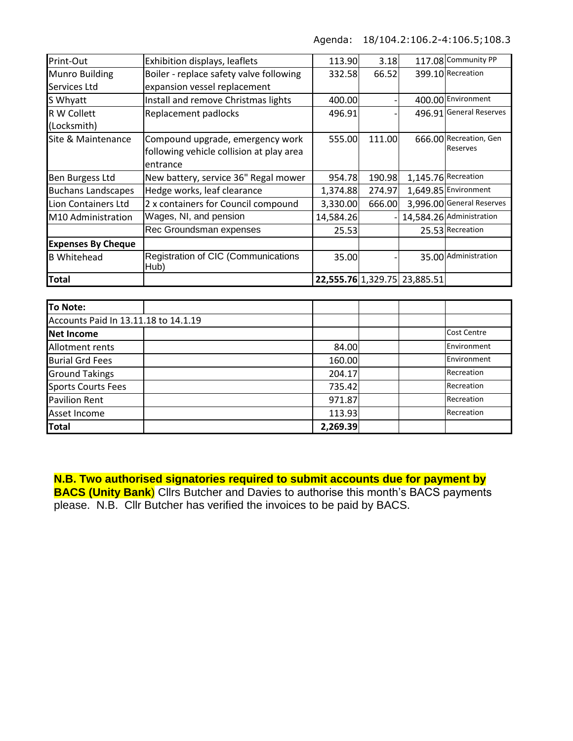Agenda: 18/104.2:106.2-4:106.5;108.3

| Print-Out                 | Exhibition displays, leaflets               | 113.90    | 3.18   |                              | 117.08 Community PP       |
|---------------------------|---------------------------------------------|-----------|--------|------------------------------|---------------------------|
| <b>Munro Building</b>     | Boiler - replace safety valve following     | 332.58    | 66.52  |                              | 399.10 Recreation         |
| Services Ltd              | expansion vessel replacement                |           |        |                              |                           |
| S Whyatt                  | Install and remove Christmas lights         | 400.00    |        |                              | 400.00 Environment        |
| R W Collett               | Replacement padlocks                        | 496.91    |        |                              | 496.91 General Reserves   |
| (Locksmith)               |                                             |           |        |                              |                           |
| Site & Maintenance        | Compound upgrade, emergency work            | 555.00    | 111.00 |                              | 666.00 Recreation, Gen    |
|                           | following vehicle collision at play area    |           |        |                              | Reserves                  |
|                           | entrance                                    |           |        |                              |                           |
| <b>Ben Burgess Ltd</b>    | New battery, service 36" Regal mower        | 954.78    | 190.98 |                              | 1,145.76 Recreation       |
| <b>Buchans Landscapes</b> | Hedge works, leaf clearance                 | 1,374.88  | 274.97 |                              | 1,649.85 Environment      |
| Lion Containers Ltd       | 2 x containers for Council compound         | 3,330.00  | 666.00 |                              | 3,996.00 General Reserves |
| M10 Administration        | Wages, NI, and pension                      | 14,584.26 |        |                              | 14,584.26 Administration  |
|                           | Rec Groundsman expenses                     | 25.53     |        |                              | 25.53 Recreation          |
| <b>Expenses By Cheque</b> |                                             |           |        |                              |                           |
| <b>B</b> Whitehead        | Registration of CIC (Communications<br>Hub) | 35.00     |        |                              | 35.00 Administration      |
| <b>Total</b>              |                                             |           |        | 22,555.76 1,329.75 23,885.51 |                           |

| <b>To Note:</b>                      |          |  |                    |
|--------------------------------------|----------|--|--------------------|
| Accounts Paid In 13.11.18 to 14.1.19 |          |  |                    |
| Net Income                           |          |  | <b>Cost Centre</b> |
| Allotment rents                      | 84.00    |  | Environment        |
| <b>Burial Grd Fees</b>               | 160.00   |  | Environment        |
| <b>Ground Takings</b>                | 204.17   |  | Recreation         |
| <b>Sports Courts Fees</b>            | 735.42   |  | Recreation         |
| <b>Pavilion Rent</b>                 | 971.87   |  | Recreation         |
| Asset Income                         | 113.93   |  | Recreation         |
| <b>Total</b>                         | 2,269.39 |  |                    |

**N.B. Two authorised signatories required to submit accounts due for payment by** 

**BACS (Unity Bank**) Cllrs Butcher and Davies to authorise this month's BACS payments please. N.B. Cllr Butcher has verified the invoices to be paid by BACS.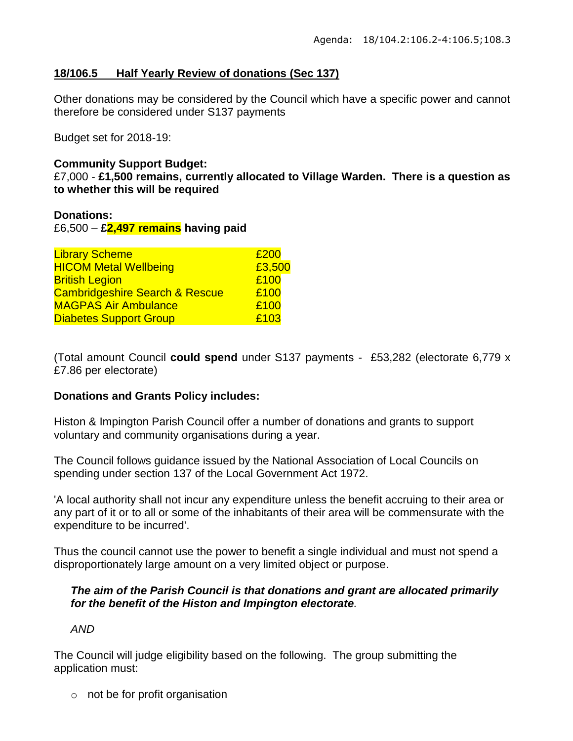### **18/106.5 Half Yearly Review of donations (Sec 137)**

Other donations may be considered by the Council which have a specific power and cannot therefore be considered under S137 payments

Budget set for 2018-19:

### **Community Support Budget:**

£7,000 - **£1,500 remains, currently allocated to Village Warden. There is a question as to whether this will be required**

### **Donations:**

£6,500 – **£2,497 remains having paid**

| <b>Library Scheme</b>                     | £200   |
|-------------------------------------------|--------|
| <b>HICOM Metal Wellbeing</b>              | £3,500 |
| <b>British Legion</b>                     | £100   |
| <b>Cambridgeshire Search &amp; Rescue</b> | £100   |
| <b>MAGPAS Air Ambulance</b>               | £100   |
| <b>Diabetes Support Group</b>             | £103   |

(Total amount Council **could spend** under S137 payments - £53,282 (electorate 6,779 x £7.86 per electorate)

### **Donations and Grants Policy includes:**

Histon & Impington Parish Council offer a number of donations and grants to support voluntary and community organisations during a year.

The Council follows guidance issued by the National Association of Local Councils on spending under section 137 of the Local Government Act 1972.

'A local authority shall not incur any expenditure unless the benefit accruing to their area or any part of it or to all or some of the inhabitants of their area will be commensurate with the expenditure to be incurred'.

Thus the council cannot use the power to benefit a single individual and must not spend a disproportionately large amount on a very limited object or purpose.

### *The aim of the Parish Council is that donations and grant are allocated primarily for the benefit of the Histon and Impington electorate.*

### *AND*

The Council will judge eligibility based on the following. The group submitting the application must:

 $\circ$  not be for profit organisation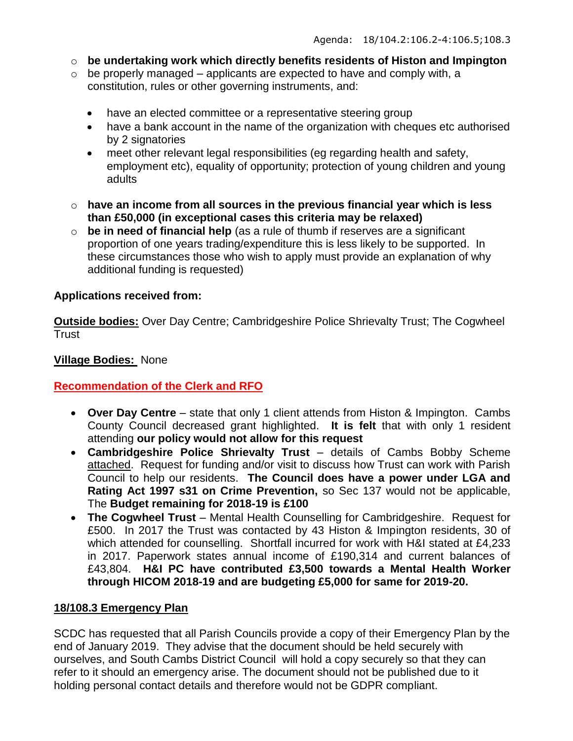- o **be undertaking work which directly benefits residents of Histon and Impington**
- $\circ$  be properly managed applicants are expected to have and comply with, a constitution, rules or other governing instruments, and:
	- have an elected committee or a representative steering group
	- have a bank account in the name of the organization with cheques etc authorised by 2 signatories
	- meet other relevant legal responsibilities (eg regarding health and safety, employment etc), equality of opportunity; protection of young children and young adults
- o **have an income from all sources in the previous financial year which is less than £50,000 (in exceptional cases this criteria may be relaxed)**
- o **be in need of financial help** (as a rule of thumb if reserves are a significant proportion of one years trading/expenditure this is less likely to be supported. In these circumstances those who wish to apply must provide an explanation of why additional funding is requested)

# **Applications received from:**

**Outside bodies:** Over Day Centre; Cambridgeshire Police Shrievalty Trust; The Cogwheel **Trust** 

# **Village Bodies:** None

# **Recommendation of the Clerk and RFO**

- **Over Day Centre** state that only 1 client attends from Histon & Impington. Cambs County Council decreased grant highlighted. **It is felt** that with only 1 resident attending **our policy would not allow for this request**
- **Cambridgeshire Police Shrievalty Trust** details of Cambs Bobby Scheme attached. Request for funding and/or visit to discuss how Trust can work with Parish Council to help our residents. **The Council does have a power under LGA and Rating Act 1997 s31 on Crime Prevention,** so Sec 137 would not be applicable, The **Budget remaining for 2018-19 is £100**
- **The Cogwheel Trust** Mental Health Counselling for Cambridgeshire. Request for £500. In 2017 the Trust was contacted by 43 Histon & Impington residents, 30 of which attended for counselling. Shortfall incurred for work with H&I stated at £4,233 in 2017. Paperwork states annual income of £190,314 and current balances of £43,804. **H&I PC have contributed £3,500 towards a Mental Health Worker through HICOM 2018-19 and are budgeting £5,000 for same for 2019-20.**

### **18/108.3 Emergency Plan**

SCDC has requested that all Parish Councils provide a copy of their Emergency Plan by the end of January 2019. They advise that the document should be held securely with ourselves, and South Cambs District Council will hold a copy securely so that they can refer to it should an emergency arise. The document should not be published due to it holding personal contact details and therefore would not be GDPR compliant.